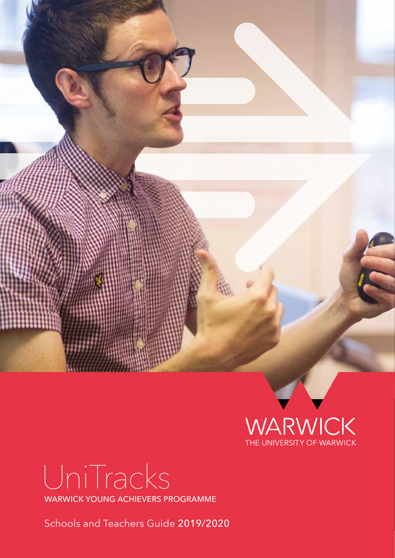



WARWICK YOUNG ACHIEVERS PROGRAMME UniTracks

Schools and Teachers Guide 2019/2020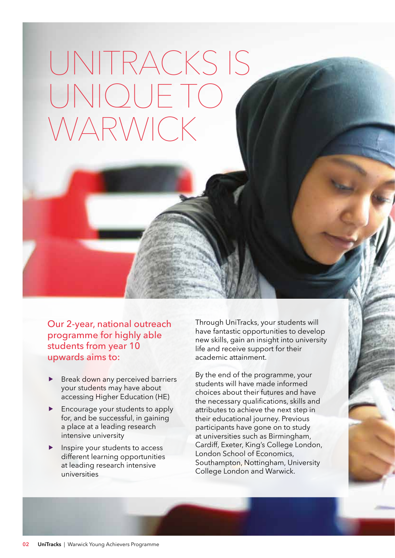# UNITRACKS IS UNIQUE TO WARWICK

Our 2-year, national outreach programme for highly able students from year 10 upwards aims to:

- Break down any perceived barriers your students may have about accessing Higher Education (HE)
- Encourage your students to apply for, and be successful, in gaining a place at a leading research intensive university
- Inspire your students to access different learning opportunities at leading research intensive universities

Through UniTracks, your students will have fantastic opportunities to develop new skills, gain an insight into university life and receive support for their academic attainment.

By the end of the programme, your students will have made informed choices about their futures and have the necessary qualifications, skills and attributes to achieve the next step in their educational journey. Previous participants have gone on to study at universities such as Birmingham, Cardiff, Exeter, King's College London, London School of Economics, Southampton, Nottingham, University College London and Warwick.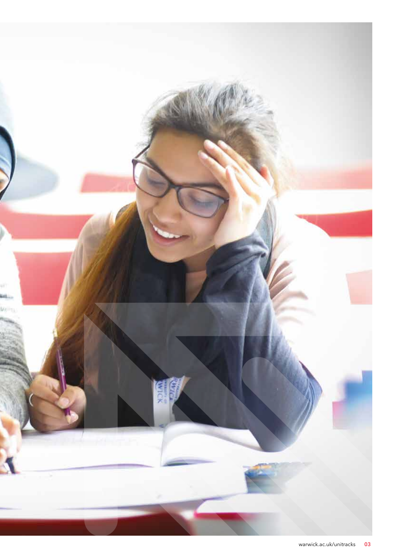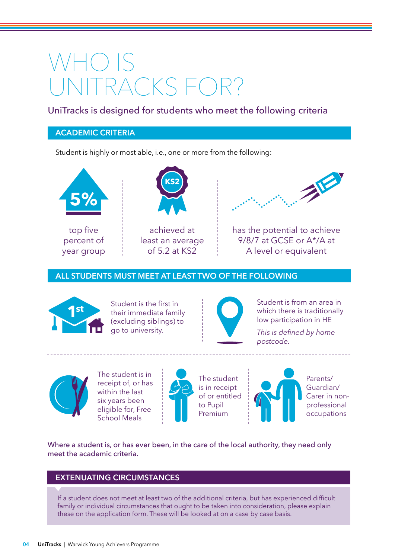# WHO IS CKS FOR?

UniTracks is designed for students who meet the following criteria

#### **ACADEMIC CRITERIA**

Student is highly or most able, i.e., one or more from the following:



top five percent of year group



achieved at least an average of 5.2 at KS2



has the potential to achieve 9/8/7 at GCSE or A\*/A at A level or equivalent

**ALL STUDENTS MUST MEET AT LEAST TWO OF THE FOLLOWING**



Student is the first in their immediate family (excluding siblings) to go to university.



Student is from an area in which there is traditionally low participation in HE

*This is defined by home postcode.* 



The student is in receipt of, or has within the last six years been eligible for, Free School Meals



The student is in receipt of or entitled to Pupil Premium



Parents/ Guardian/ Carer in nonprofessional occupations

Where a student is, or has ever been, in the care of the local authority, they need only meet the academic criteria.

#### **EXTENUATING CIRCUMSTANCES**

If a student does not meet at least two of the additional criteria, but has experienced difficult family or individual circumstances that ought to be taken into consideration, please explain these on the application form. These will be looked at on a case by case basis.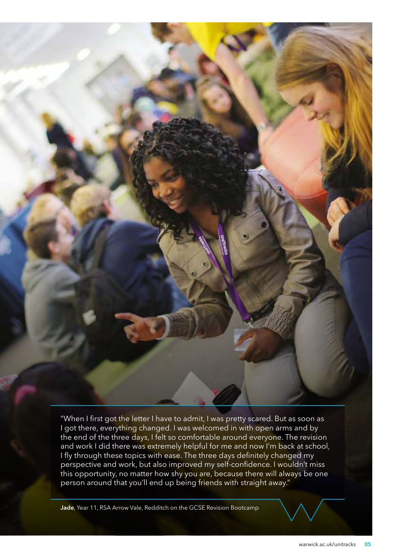"When I first got the letter I have to admit, I was pretty scared. But as soon as I got there, everything changed. I was welcomed in with open arms and by the end of the three days, I felt so comfortable around everyone. The revision and work I did there was extremely helpful for me and now I'm back at school, I fly through these topics with ease. The three days definitely changed my perspective and work, but also improved my self-confidence. I wouldn't miss this opportunity, no matter how shy you are, because there will always be one person around that you'll end up being friends with straight away."

**Jade**, Year 11, RSA Arrow Vale, Redditch on the GCSE Revision Bootcamp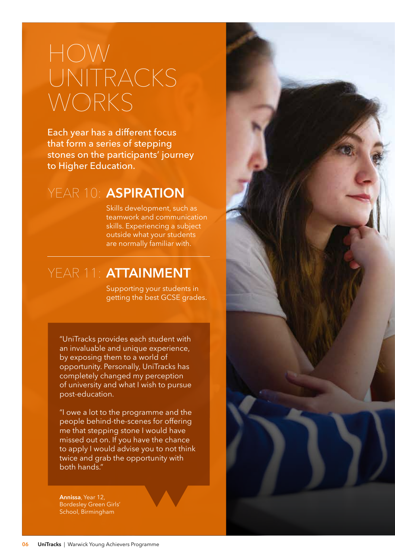## HOW UNITRACKS WORKS<sub>1</sub>

Each year has a different focus that form a series of stepping stones on the participants' journey to Higher Education.

## YEAR 10: **ASPIRATION**

 Skills development, such as teamwork and communication skills. Experiencing a subject outside what your students are normally familiar with.

## YEAR 11: **ATTAINMENT**

Supporting your students in getting the best GCSE grades.

"UniTracks provides each student with an invaluable and unique experience, by exposing them to a world of opportunity. Personally, UniTracks has completely changed my perception of university and what I wish to pursue post-education.

"I owe a lot to the programme and the people behind-the-scenes for offering me that stepping stone I would have missed out on. If you have the chance to apply I would advise you to not think twice and grab the opportunity with both hands."

**Annissa**, Year 12, Bordesley Green Girls' School, Birmingham

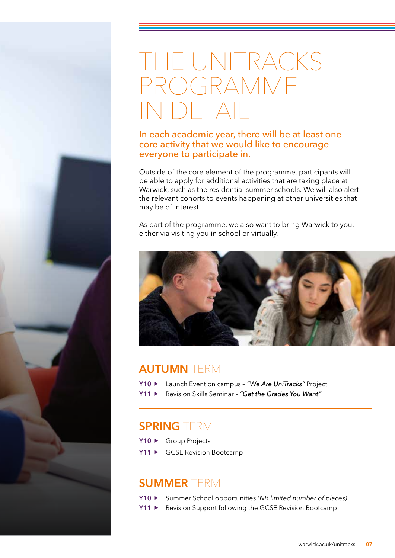## THE UNITRACKS OGRAMME IN DETAIL

In each academic year, there will be at least one core activity that we would like to encourage everyone to participate in.

Outside of the core element of the programme, participants will be able to apply for additional activities that are taking place at Warwick, such as the residential summer schools. We will also alert the relevant cohorts to events happening at other universities that may be of interest.

As part of the programme, we also want to bring Warwick to you, either via visiting you in school or virtually!



### **AUTUMN** TERM

- **Y10** Launch Event on campus *"We Are UniTracks"* Project
- **Y11 ▶** Revision Skills Seminar "Get the Grades You Want"

### **SPRING** TERM

- **Y10** Group Projects
- **Y11 ▶ GCSE Revision Bootcamp**

### **SUMMER** TERM

- **Y10** ► Summer School opportunities *(NB limited number of places)*
- **Y11** ► Revision Support following the GCSE Revision Bootcamp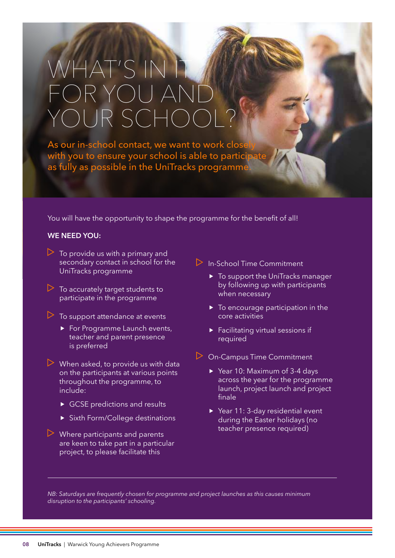# MHAT'S IN FOR YOU AND YOUR SCHO

As our in-school contact, we want to work clos with you to ensure your school is able to partici as fully as possible in the UniTracks programme.

You will have the opportunity to shape the programme for the benefit of all!

#### **WE NEED YOU:**

- $\triangleright$  To provide us with a primary and secondary contact in school for the UniTracks programme
- $\triangleright$  To accurately target students to participate in the programme
- $\triangleright$  To support attendance at events
	- For Programme Launch events, teacher and parent presence is preferred
- $\triangleright$  When asked, to provide us with data on the participants at various points throughout the programme, to include:
	- GCSE predictions and results
	- ▶ Sixth Form/College destinations
- $\triangleright$  Where participants and parents are keen to take part in a particular project, to please facilitate this

#### $\triangleright$  In-School Time Commitment

- $\triangleright$  To support the UniTracks manager by following up with participants when necessary
- $\blacktriangleright$  To encourage participation in the core activities
- $\blacktriangleright$  Facilitating virtual sessions if required
- On-Campus Time Commitment
	- ▶ Year 10: Maximum of 3-4 days across the year for the programme launch, project launch and project finale
	- ▶ Year 11: 3-day residential event during the Easter holidays (no teacher presence required)

*NB: Saturdays are frequently chosen for programme and project launches as this causes minimum disruption to the participants' schooling.*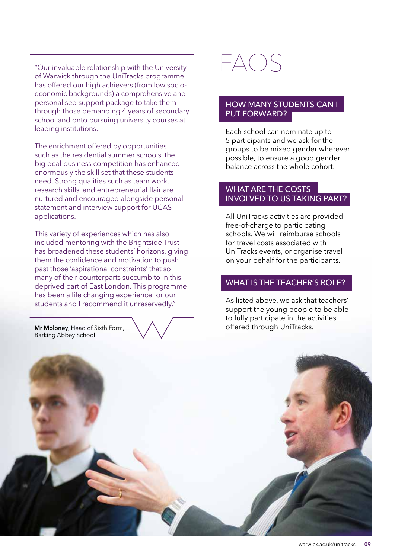"Our invaluable relationship with the University of Warwick through the UniTracks programme has offered our high achievers (from low socioeconomic backgrounds) a comprehensive and personalised support package to take them through those demanding 4 years of secondary school and onto pursuing university courses at leading institutions.

The enrichment offered by opportunities such as the residential summer schools, the big deal business competition has enhanced enormously the skill set that these students need. Strong qualities such as team work, research skills, and entrepreneurial flair are nurtured and encouraged alongside personal statement and interview support for UCAS applications.

This variety of experiences which has also included mentoring with the Brightside Trust has broadened these students' horizons, giving them the confidence and motivation to push past those 'aspirational constraints' that so many of their counterparts succumb to in this deprived part of East London. This programme has been a life changing experience for our students and I recommend it unreservedly."

**Mr Moloney**, Head of Sixth Form, Barking Abbey School



# $\vdash \triangle( )$ S

#### HOW MANY STUDENTS CAN I PUT FORWARD?

Each school can nominate up to 5 participants and we ask for the groups to be mixed gender wherever possible, to ensure a good gender balance across the whole cohort.

#### WHAT ARE THE COSTS INVOLVED TO US TAKING PART?

All UniTracks activities are provided free-of-charge to participating schools. We will reimburse schools for travel costs associated with UniTracks events, or organise travel on your behalf for the participants.

#### WHAT IS THE TEACHER'S ROLE?

As listed above, we ask that teachers' support the young people to be able to fully participate in the activities offered through UniTracks.

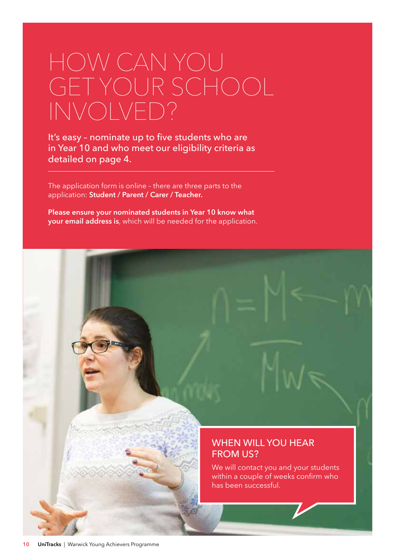## HOW CAN YOU GET YOUR SCHOOL INVOLVED?

It's easy – nominate up to five students who are in Year 10 and who meet our eligibility criteria as detailed on page 4.

The application form is online – there are three parts to the application: **Student / Parent / Carer / Teacher.**

**Please ensure your nominated students in Year 10 know what your email address is**, which will be needed for the application.

#### WHEN WILL YOU HEAR FROM US?

We will contact you and your students within a couple of weeks confirm who has been successful.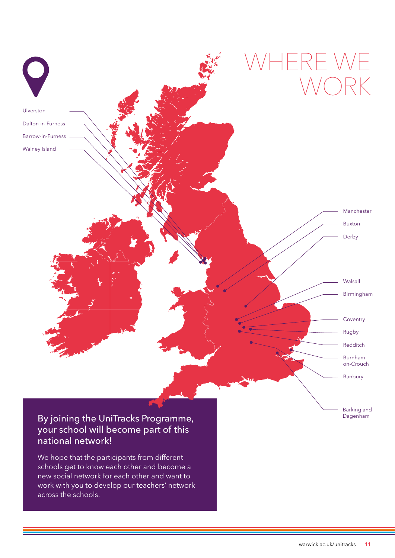

#### By joining the UniTracks Programme, your school will become part of this national network!

We hope that the participants from different schools get to know each other and become a new social network for each other and want to work with you to develop our teachers' network across the schools.

Dagenham